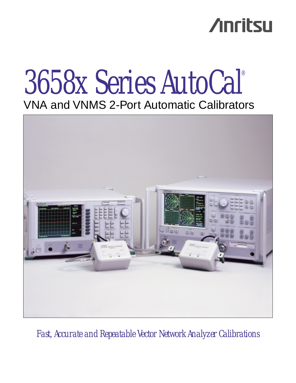# **Anritsu**

# 3658x Series AutoCal® VNA and VNMS 2-Port Automatic Calibrators



*Fast, Accurate and Repeatable Vector Network Analyzer Calibrations*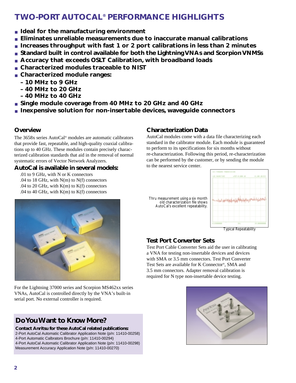## **TWO-PORT AUTOCAL® PERFORMANCE HIGHLIGHTS**

- **Ideal for the manufacturing environment**
- **Eliminates unreliable measurements due to inaccurate manual calibrations**
- **Increases throughput with fast 1 or 2 port calibrations in less than 2 minutes**
- Standard built in control available for both the Lightning VNAs and Scorpion VNMSs
- **Accuracy that exceeds OSLT Calibration, with broadband loads**
- **Characterized modules traceable to NIST**
- **Characterized module ranges:** 
	- **10 MHz to 9 GHz**
	- **40 MHz to 20 GHz**
	- **40 MHz to 40 GHz**
- **Single module coverage from 40 MHz to 20 GHz and 40 GHz**
- **Inexpensive solution for non-insertable devices, waveguide connectors**

## **Overview**

The 3658x series AutoCal® modules are automatic calibrators that provide fast, repeatable, and high-quality coaxial calibrations up to 40 GHz. These modules contain precisely characterized calibration standards that aid in the removal of normal systematic errors of Vector Network Analyzers.

### **AutoCal is available in several models:**

.01 to 9 GHz, with N or K connectors .04 to 18 GHz, with  $N(m)$  to  $N(f)$  connectors .04 to 20 GHz, with  $K(m)$  to  $K(f)$  connectors .04 to 40 GHz, with  $K(m)$  to  $K(f)$  connectors

## **Characterization Data**

AutoCal modules come with a data file characterizing each standard in the calibrator module. Each module is guaranteed to perform to its specifications for six months without re-characterization. Following this period, re-characterization can be performed by the customer, or by sending the module to the nearest service center.

Thru measurement using a six month old characterization file shows AutoCal's excellent repeatability.



Typical Repeatability

## **Test Port Converter Sets**

Test Port Cable Converter Sets aid the user in calibrating a VNA for testing non-insertable devices and devices with SMA or 3.5 mm connectors. Test Port Converter Test Sets are available for K Connector®, SMA and 3.5 mm connectors. Adapter removal calibration is required for N type non-insertable device testing.





For the Lightning 37000 series and Scorpion MS462xx series VNAs, AutoCal is controlled directly by the VNA's built-in serial port. No external controller is required.

## **Do You Want to Know More?**

**Contact Anritsu for these AutoCal related publications:** 2-Port AutoCal Automatic Calibrator Application Note (p/n: 11410-00258) 4-Port Automatic Calbrators Brochure (p/n: 11410-00294) 4-Port AutoCal Automatic Calibrator Application Note (p/n: 11410-00298) Measurement Accuracy Application Note (p/n: 11410-00270)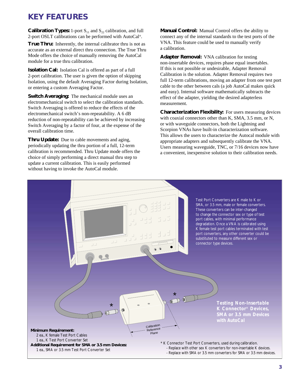## **KEY FEATURES**

**Calibration Types:** 1-port  $S_{11}$  and  $S_{22}$  calibration, and full 2-port OSLT calibrations can be performed with AutoCal®.

**True Thru:** Inherently, the internal calibrator thru is not as accurate as an external direct thru connection. The True Thru Mode offers the choice of manually removing the AutoCal module for a true thru calibration.

**Isolation Cal:** Isolation Cal is offered as part of a full 2-port calibration. The user is given the option of skipping Isolation, using the default Averaging Factor during Isolation, or entering a custom Averaging Factor.

**Switch Averaging:** The mechanical module uses an electromechanical switch to select the calibration standards. Switch Averaging is offered to reduce the effects of the electromechanical switch's non-repeatability. A 6 dB reduction of non-repeatability can be achieved by increasing Switch Averaging by a factor of four, at the expense of the overall calibration time.

**Thru Update:** Due to cable movements and aging, periodically updating the thru portion of a full, 12-term calibration is recommended. Thru Update mode offers the choice of simply performing a direct manual thru step to update a current calibration. This is easily performed without having to invoke the AutoCal module.

**Manual Control:** Manual Control offers the ability to connect any of the internal standards to the test ports of the VNA. This feature could be used to manually verify a calibration.

**Adapter Removal:** VNA calibration for testing non-insertable devices, requires phase equal insertables. If this is not possible or undesirable, Adapter Removal Calibration is the solution. Adapter Removal requires two full 12-term calibrations, moving an adapter from one test port cable to the other between cals (a job AutoCal makes quick and easy). Internal software mathematically subtracts the effect of the adapter, yielding the desired adapterless measurement.

**Characterization Flexibility:** For users measuring devices with coaxial connectors other than K, SMA, 3.5 mm, or N, or with waveguide connectors, both the Lightning and Scorpion VNAs have built-in characterization software. This allows the users to characterize the Autocal module with appropriate adapters and subsequently calibrate the VNA. Users measuring waveguide, TNC, or 7/16 devices now have a convenient, inexpensive solution to their calibration needs.